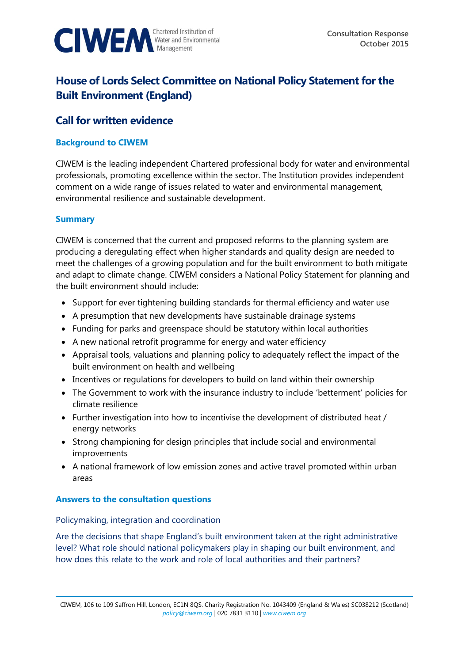

# **House of Lords Select Committee on National Policy Statement for the Built Environment (England)**

# **Call for written evidence**

#### **Background to CIWEM**

CIWEM is the leading independent Chartered professional body for water and environmental professionals, promoting excellence within the sector. The Institution provides independent comment on a wide range of issues related to water and environmental management, environmental resilience and sustainable development.

## **Summary**

CIWEM is concerned that the current and proposed reforms to the planning system are producing a deregulating effect when higher standards and quality design are needed to meet the challenges of a growing population and for the built environment to both mitigate and adapt to climate change. CIWEM considers a National Policy Statement for planning and the built environment should include:

- Support for ever tightening building standards for thermal efficiency and water use
- A presumption that new developments have sustainable drainage systems
- Funding for parks and greenspace should be statutory within local authorities
- A new national retrofit programme for energy and water efficiency
- Appraisal tools, valuations and planning policy to adequately reflect the impact of the built environment on health and wellbeing
- Incentives or regulations for developers to build on land within their ownership
- The Government to work with the insurance industry to include 'betterment' policies for climate resilience
- Further investigation into how to incentivise the development of distributed heat / energy networks
- Strong championing for design principles that include social and environmental improvements
- A national framework of low emission zones and active travel promoted within urban areas

#### **Answers to the consultation questions**

#### Policymaking, integration and coordination

Are the decisions that shape England's built environment taken at the right administrative level? What role should national policymakers play in shaping our built environment, and how does this relate to the work and role of local authorities and their partners?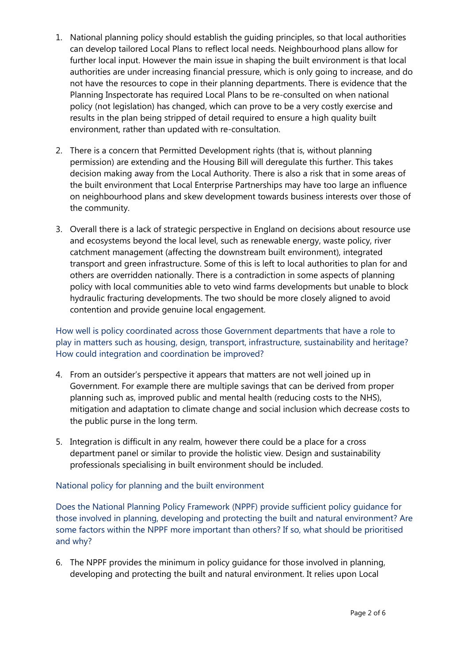- 1. National planning policy should establish the guiding principles, so that local authorities can develop tailored Local Plans to reflect local needs. Neighbourhood plans allow for further local input. However the main issue in shaping the built environment is that local authorities are under increasing financial pressure, which is only going to increase, and do not have the resources to cope in their planning departments. There is evidence that the Planning Inspectorate has required Local Plans to be re-consulted on when national policy (not legislation) has changed, which can prove to be a very costly exercise and results in the plan being stripped of detail required to ensure a high quality built environment, rather than updated with re-consultation.
- 2. There is a concern that Permitted Development rights (that is, without planning permission) are extending and the Housing Bill will deregulate this further. This takes decision making away from the Local Authority. There is also a risk that in some areas of the built environment that Local Enterprise Partnerships may have too large an influence on neighbourhood plans and skew development towards business interests over those of the community.
- 3. Overall there is a lack of strategic perspective in England on decisions about resource use and ecosystems beyond the local level, such as renewable energy, waste policy, river catchment management (affecting the downstream built environment), integrated transport and green infrastructure. Some of this is left to local authorities to plan for and others are overridden nationally. There is a contradiction in some aspects of planning policy with local communities able to veto wind farms developments but unable to block hydraulic fracturing developments. The two should be more closely aligned to avoid contention and provide genuine local engagement.

How well is policy coordinated across those Government departments that have a role to play in matters such as housing, design, transport, infrastructure, sustainability and heritage? How could integration and coordination be improved?

- 4. From an outsider's perspective it appears that matters are not well joined up in Government. For example there are multiple savings that can be derived from proper planning such as, improved public and mental health (reducing costs to the NHS), mitigation and adaptation to climate change and social inclusion which decrease costs to the public purse in the long term.
- 5. Integration is difficult in any realm, however there could be a place for a cross department panel or similar to provide the holistic view. Design and sustainability professionals specialising in built environment should be included.

#### National policy for planning and the built environment

Does the National Planning Policy Framework (NPPF) provide sufficient policy guidance for those involved in planning, developing and protecting the built and natural environment? Are some factors within the NPPF more important than others? If so, what should be prioritised and why?

6. The NPPF provides the minimum in policy guidance for those involved in planning, developing and protecting the built and natural environment. It relies upon Local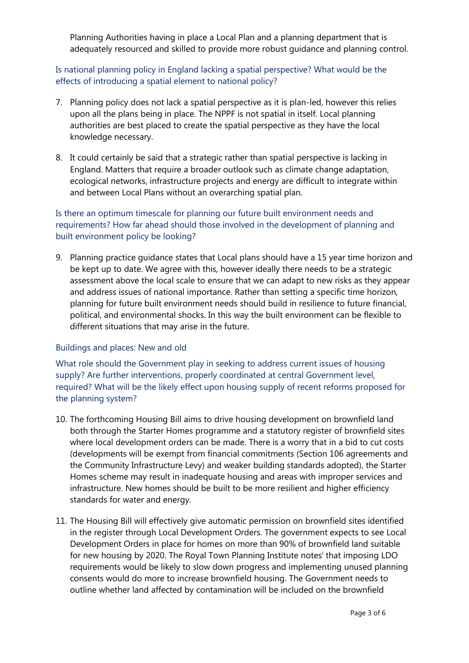Planning Authorities having in place a Local Plan and a planning department that is adequately resourced and skilled to provide more robust guidance and planning control.

Is national planning policy in England lacking a spatial perspective? What would be the effects of introducing a spatial element to national policy?

- 7. Planning policy does not lack a spatial perspective as it is plan-led, however this relies upon all the plans being in place. The NPPF is not spatial in itself. Local planning authorities are best placed to create the spatial perspective as they have the local knowledge necessary.
- 8. It could certainly be said that a strategic rather than spatial perspective is lacking in England. Matters that require a broader outlook such as climate change adaptation, ecological networks, infrastructure projects and energy are difficult to integrate within and between Local Plans without an overarching spatial plan.

# Is there an optimum timescale for planning our future built environment needs and requirements? How far ahead should those involved in the development of planning and built environment policy be looking?

9. Planning practice guidance states that Local plans should have a 15 year time horizon and be kept up to date. We agree with this, however ideally there needs to be a strategic assessment above the local scale to ensure that we can adapt to new risks as they appear and address issues of national importance. Rather than setting a specific time horizon, planning for future built environment needs should build in resilience to future financial, political, and environmental shocks. In this way the built environment can be flexible to different situations that may arise in the future.

# Buildings and places: New and old

What role should the Government play in seeking to address current issues of housing supply? Are further interventions, properly coordinated at central Government level, required? What will be the likely effect upon housing supply of recent reforms proposed for the planning system?

- 10. The forthcoming Housing Bill aims to drive housing development on brownfield land both through the Starter Homes programme and a statutory register of brownfield sites where local development orders can be made. There is a worry that in a bid to cut costs (developments will be exempt from financial commitments (Section 106 agreements and the Community Infrastructure Levy) and weaker building standards adopted), the Starter Homes scheme may result in inadequate housing and areas with improper services and infrastructure. New homes should be built to be more resilient and higher efficiency standards for water and energy.
- 11. The Housing Bill will effectively give automatic permission on brownfield sites identified in the register through Local Development Orders. The government expects to see Local Development Orders in place for homes on more than 90% of brownfield land suitable for new housing by 2020. The Royal Town Planning Institute notes<sup>i</sup> that imposing LDO requirements would be likely to slow down progress and implementing unused planning consents would do more to increase brownfield housing. The Government needs to outline whether land affected by contamination will be included on the brownfield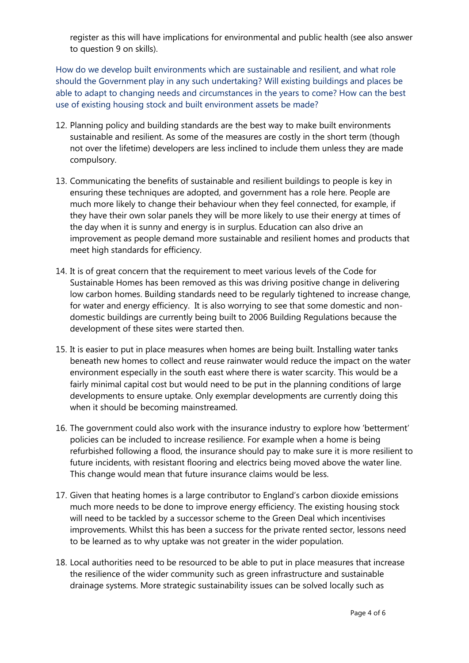register as this will have implications for environmental and public health (see also answer to question 9 on skills).

How do we develop built environments which are sustainable and resilient, and what role should the Government play in any such undertaking? Will existing buildings and places be able to adapt to changing needs and circumstances in the years to come? How can the best use of existing housing stock and built environment assets be made?

- 12. Planning policy and building standards are the best way to make built environments sustainable and resilient. As some of the measures are costly in the short term (though not over the lifetime) developers are less inclined to include them unless they are made compulsory.
- 13. Communicating the benefits of sustainable and resilient buildings to people is key in ensuring these techniques are adopted, and government has a role here. People are much more likely to change their behaviour when they feel connected, for example, if they have their own solar panels they will be more likely to use their energy at times of the day when it is sunny and energy is in surplus. Education can also drive an improvement as people demand more sustainable and resilient homes and products that meet high standards for efficiency.
- 14. It is of great concern that the requirement to meet various levels of the Code for Sustainable Homes has been removed as this was driving positive change in delivering low carbon homes. Building standards need to be regularly tightened to increase change, for water and energy efficiency. It is also worrying to see that some domestic and nondomestic buildings are currently being built to 2006 Building Regulations because the development of these sites were started then.
- 15. It is easier to put in place measures when homes are being built. Installing water tanks beneath new homes to collect and reuse rainwater would reduce the impact on the water environment especially in the south east where there is water scarcity. This would be a fairly minimal capital cost but would need to be put in the planning conditions of large developments to ensure uptake. Only exemplar developments are currently doing this when it should be becoming mainstreamed.
- 16. The government could also work with the insurance industry to explore how 'betterment' policies can be included to increase resilience. For example when a home is being refurbished following a flood, the insurance should pay to make sure it is more resilient to future incidents, with resistant flooring and electrics being moved above the water line. This change would mean that future insurance claims would be less.
- 17. Given that heating homes is a large contributor to England's carbon dioxide emissions much more needs to be done to improve energy efficiency. The existing housing stock will need to be tackled by a successor scheme to the Green Deal which incentivises improvements. Whilst this has been a success for the private rented sector, lessons need to be learned as to why uptake was not greater in the wider population.
- 18. Local authorities need to be resourced to be able to put in place measures that increase the resilience of the wider community such as green infrastructure and sustainable drainage systems. More strategic sustainability issues can be solved locally such as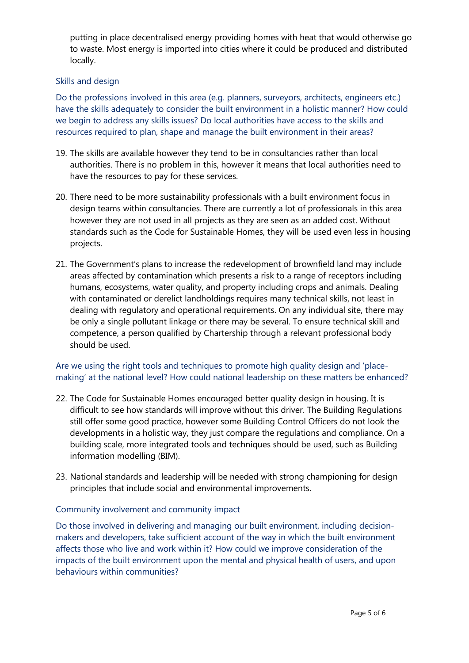putting in place decentralised energy providing homes with heat that would otherwise go to waste. Most energy is imported into cities where it could be produced and distributed locally.

## Skills and design

Do the professions involved in this area (e.g. planners, surveyors, architects, engineers etc.) have the skills adequately to consider the built environment in a holistic manner? How could we begin to address any skills issues? Do local authorities have access to the skills and resources required to plan, shape and manage the built environment in their areas?

- 19. The skills are available however they tend to be in consultancies rather than local authorities. There is no problem in this, however it means that local authorities need to have the resources to pay for these services.
- 20. There need to be more sustainability professionals with a built environment focus in design teams within consultancies. There are currently a lot of professionals in this area however they are not used in all projects as they are seen as an added cost. Without standards such as the Code for Sustainable Homes, they will be used even less in housing projects.
- 21. The Government's plans to increase the redevelopment of brownfield land may include areas affected by contamination which presents a risk to a range of receptors including humans, ecosystems, water quality, and property including crops and animals. Dealing with contaminated or derelict landholdings requires many technical skills, not least in dealing with regulatory and operational requirements. On any individual site, there may be only a single pollutant linkage or there may be several. To ensure technical skill and competence, a person qualified by Chartership through a relevant professional body should be used.

# Are we using the right tools and techniques to promote high quality design and 'placemaking' at the national level? How could national leadership on these matters be enhanced?

- 22. The Code for Sustainable Homes encouraged better quality design in housing. It is difficult to see how standards will improve without this driver. The Building Regulations still offer some good practice, however some Building Control Officers do not look the developments in a holistic way, they just compare the regulations and compliance. On a building scale, more integrated tools and techniques should be used, such as Building information modelling (BIM).
- 23. National standards and leadership will be needed with strong championing for design principles that include social and environmental improvements.

#### Community involvement and community impact

Do those involved in delivering and managing our built environment, including decisionmakers and developers, take sufficient account of the way in which the built environment affects those who live and work within it? How could we improve consideration of the impacts of the built environment upon the mental and physical health of users, and upon behaviours within communities?